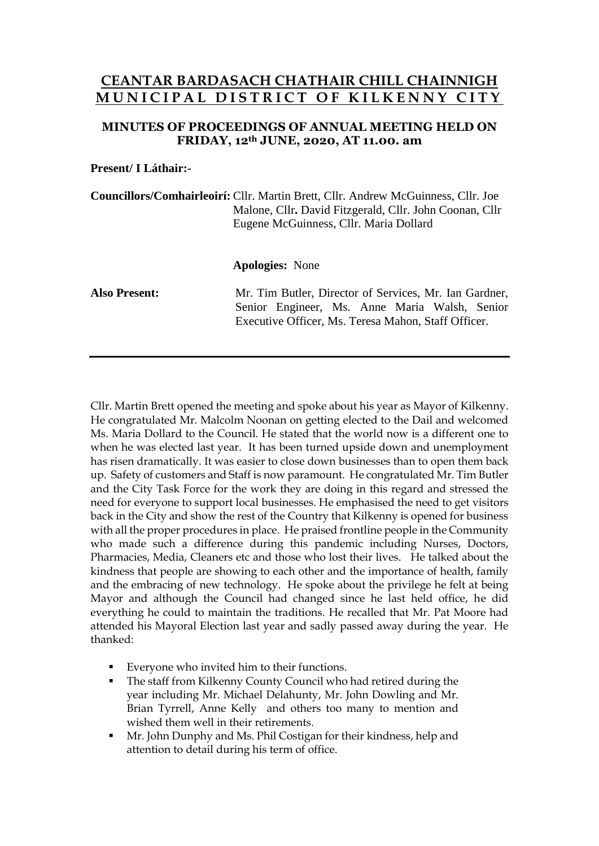# **CEANTAR BARDASACH CHATHAIR CHILL CHAINNIGH M U N I C I P A L D I S T R I C T O F K I L K E N N Y C I T Y**

# **MINUTES OF PROCEEDINGS OF ANNUAL MEETING HELD ON FRIDAY, 12th JUNE, 2020, AT 11.00. am**

### **Present/ I Láthair:-**

**Councillors/Comhairleoirí:** Cllr. Martin Brett, Cllr. Andrew McGuinness, Cllr. Joe Malone, Cllr**.** David Fitzgerald, Cllr. John Coonan, Cllr Eugene McGuinness, Cllr. Maria Dollard

#### **Apologies:** None

**Also Present:** Mr. Tim Butler, Director of Services, Mr. Ian Gardner, Senior Engineer, Ms. Anne Maria Walsh, Senior Executive Officer, Ms. Teresa Mahon, Staff Officer.

Cllr. Martin Brett opened the meeting and spoke about his year as Mayor of Kilkenny. He congratulated Mr. Malcolm Noonan on getting elected to the Dail and welcomed Ms. Maria Dollard to the Council. He stated that the world now is a different one to when he was elected last year. It has been turned upside down and unemployment has risen dramatically. It was easier to close down businesses than to open them back up. Safety of customers and Staff is now paramount. He congratulated Mr. Tim Butler and the City Task Force for the work they are doing in this regard and stressed the need for everyone to support local businesses. He emphasised the need to get visitors back in the City and show the rest of the Country that Kilkenny is opened for business with all the proper procedures in place. He praised frontline people in the Community who made such a difference during this pandemic including Nurses, Doctors, Pharmacies, Media, Cleaners etc and those who lost their lives. He talked about the kindness that people are showing to each other and the importance of health, family and the embracing of new technology. He spoke about the privilege he felt at being Mayor and although the Council had changed since he last held office, he did everything he could to maintain the traditions. He recalled that Mr. Pat Moore had attended his Mayoral Election last year and sadly passed away during the year. He thanked:

- Everyone who invited him to their functions.
- The staff from Kilkenny County Council who had retired during the year including Mr. Michael Delahunty, Mr. John Dowling and Mr. Brian Tyrrell, Anne Kelly and others too many to mention and wished them well in their retirements.
- Mr. John Dunphy and Ms. Phil Costigan for their kindness, help and attention to detail during his term of office.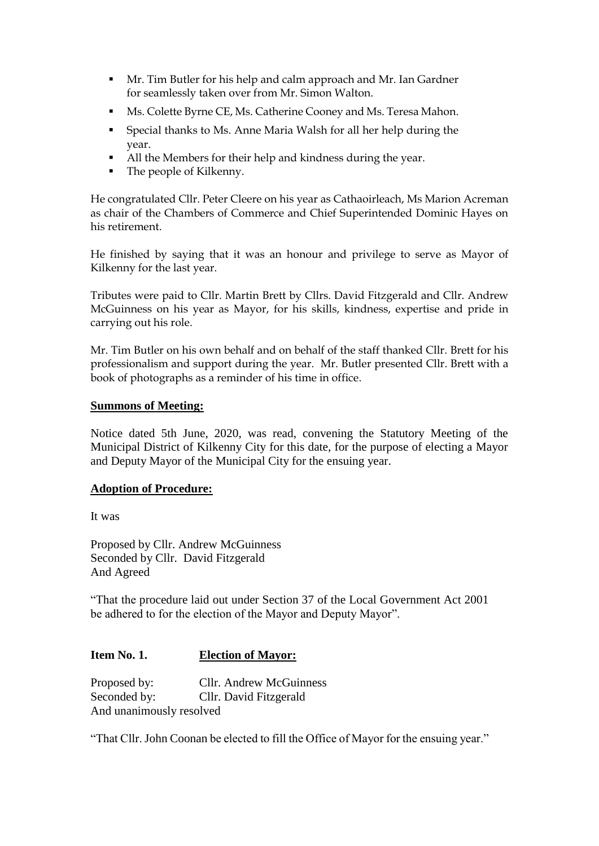- Mr. Tim Butler for his help and calm approach and Mr. Ian Gardner for seamlessly taken over from Mr. Simon Walton.
- Ms. Colette Byrne CE, Ms. Catherine Cooney and Ms. Teresa Mahon.
- Special thanks to Ms. Anne Maria Walsh for all her help during the year.
- All the Members for their help and kindness during the year.
- The people of Kilkenny.

He congratulated Cllr. Peter Cleere on his year as Cathaoirleach, Ms Marion Acreman as chair of the Chambers of Commerce and Chief Superintended Dominic Hayes on his retirement.

He finished by saying that it was an honour and privilege to serve as Mayor of Kilkenny for the last year.

Tributes were paid to Cllr. Martin Brett by Cllrs. David Fitzgerald and Cllr. Andrew McGuinness on his year as Mayor, for his skills, kindness, expertise and pride in carrying out his role.

Mr. Tim Butler on his own behalf and on behalf of the staff thanked Cllr. Brett for his professionalism and support during the year. Mr. Butler presented Cllr. Brett with a book of photographs as a reminder of his time in office.

### **Summons of Meeting:**

Notice dated 5th June, 2020, was read, convening the Statutory Meeting of the Municipal District of Kilkenny City for this date, for the purpose of electing a Mayor and Deputy Mayor of the Municipal City for the ensuing year.

# **Adoption of Procedure:**

It was

Proposed by Cllr. Andrew McGuinness Seconded by Cllr. David Fitzgerald And Agreed

"That the procedure laid out under Section 37 of the Local Government Act 2001 be adhered to for the election of the Mayor and Deputy Mayor".

# **Item No. 1. Election of Mayor:**

Proposed by: Cllr. Andrew McGuinness Seconded by: Cllr. David Fitzgerald And unanimously resolved

"That Cllr. John Coonan be elected to fill the Office of Mayor for the ensuing year."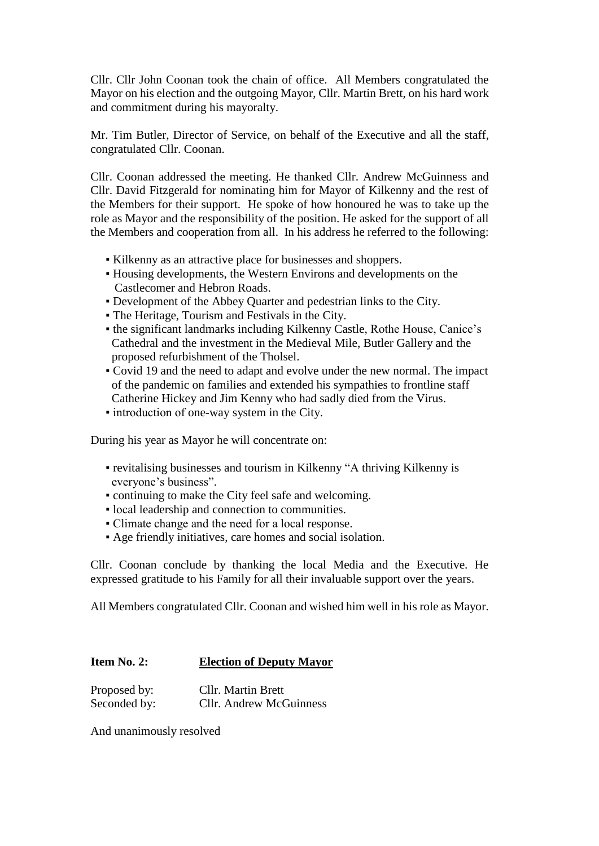Cllr. Cllr John Coonan took the chain of office. All Members congratulated the Mayor on his election and the outgoing Mayor, Cllr. Martin Brett, on his hard work and commitment during his mayoralty.

Mr. Tim Butler, Director of Service, on behalf of the Executive and all the staff, congratulated Cllr. Coonan.

Cllr. Coonan addressed the meeting. He thanked Cllr. Andrew McGuinness and Cllr. David Fitzgerald for nominating him for Mayor of Kilkenny and the rest of the Members for their support. He spoke of how honoured he was to take up the role as Mayor and the responsibility of the position. He asked for the support of all the Members and cooperation from all. In his address he referred to the following:

- Kilkenny as an attractive place for businesses and shoppers.
- Housing developments, the Western Environs and developments on the Castlecomer and Hebron Roads.
- Development of the Abbey Quarter and pedestrian links to the City.
- The Heritage, Tourism and Festivals in the City.
- the significant landmarks including Kilkenny Castle, Rothe House, Canice's Cathedral and the investment in the Medieval Mile, Butler Gallery and the proposed refurbishment of the Tholsel.
- Covid 19 and the need to adapt and evolve under the new normal. The impact of the pandemic on families and extended his sympathies to frontline staff Catherine Hickey and Jim Kenny who had sadly died from the Virus.
- introduction of one-way system in the City.

During his year as Mayor he will concentrate on:

- revitalising businesses and tourism in Kilkenny "A thriving Kilkenny is everyone's business".
- continuing to make the City feel safe and welcoming.
- local leadership and connection to communities.
- Climate change and the need for a local response.
- Age friendly initiatives, care homes and social isolation.

Cllr. Coonan conclude by thanking the local Media and the Executive. He expressed gratitude to his Family for all their invaluable support over the years.

All Members congratulated Cllr. Coonan and wished him well in his role as Mayor.

### **Item No. 2: Election of Deputy Mayor**

| Proposed by: | <b>Cllr. Martin Brett</b>      |
|--------------|--------------------------------|
| Seconded by: | <b>Cllr.</b> Andrew McGuinness |

And unanimously resolved